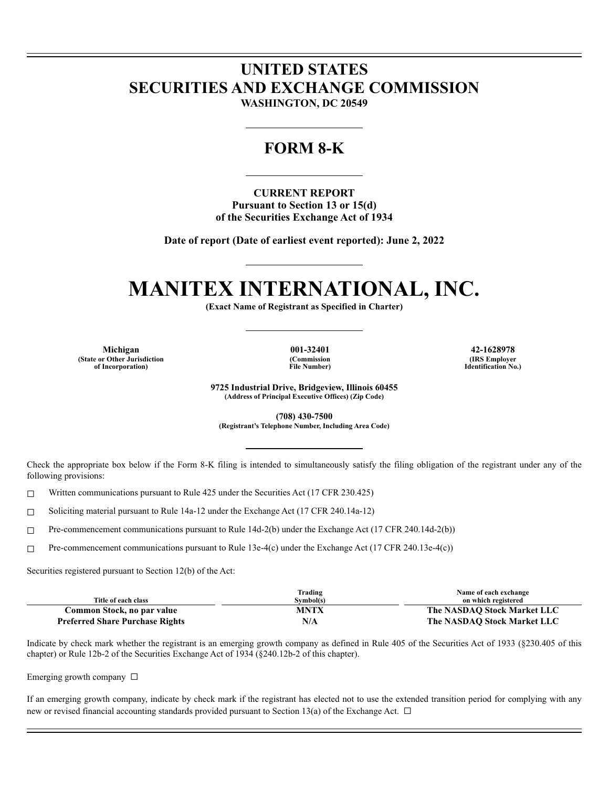## **UNITED STATES SECURITIES AND EXCHANGE COMMISSION**

**WASHINGTON, DC 20549**

### **FORM 8-K**

**CURRENT REPORT Pursuant to Section 13 or 15(d) of the Securities Exchange Act of 1934**

**Date of report (Date of earliest event reported): June 2, 2022**

# **MANITEX INTERNATIONAL, INC.**

**(Exact Name of Registrant as Specified in Charter)**

**Michigan 001-32401 42-1628978 (State or Other Jurisdiction of Incorporation)**

**(Commission File Number)**

**(IRS Employer Identification No.)**

**9725 Industrial Drive, Bridgeview, Illinois 60455 (Address of Principal Executive Offices) (Zip Code)**

**(708) 430-7500 (Registrant's Telephone Number, Including Area Code)**

Check the appropriate box below if the Form 8-K filing is intended to simultaneously satisfy the filing obligation of the registrant under any of the following provisions:

 $\Box$  Written communications pursuant to Rule 425 under the Securities Act (17 CFR 230.425)

☐ Soliciting material pursuant to Rule 14a-12 under the Exchange Act (17 CFR 240.14a-12)

☐ Pre-commencement communications pursuant to Rule 14d-2(b) under the Exchange Act (17 CFR 240.14d-2(b))

☐ Pre-commencement communications pursuant to Rule 13e-4(c) under the Exchange Act (17 CFR 240.13e-4(c))

Securities registered pursuant to Section 12(b) of the Act:

|                                        | Trading     | Name of each exchange       |
|----------------------------------------|-------------|-----------------------------|
| Title of each class                    | Symbol(s)   | on which registered         |
| Common Stock, no par value             | <b>MNTX</b> | The NASDAO Stock Market LLC |
| <b>Preferred Share Purchase Rights</b> | N/A         | The NASDAO Stock Market LLC |

Indicate by check mark whether the registrant is an emerging growth company as defined in Rule 405 of the Securities Act of 1933 (§230.405 of this chapter) or Rule 12b-2 of the Securities Exchange Act of 1934 (§240.12b-2 of this chapter).

Emerging growth company ☐

If an emerging growth company, indicate by check mark if the registrant has elected not to use the extended transition period for complying with any new or revised financial accounting standards provided pursuant to Section 13(a) of the Exchange Act.  $\Box$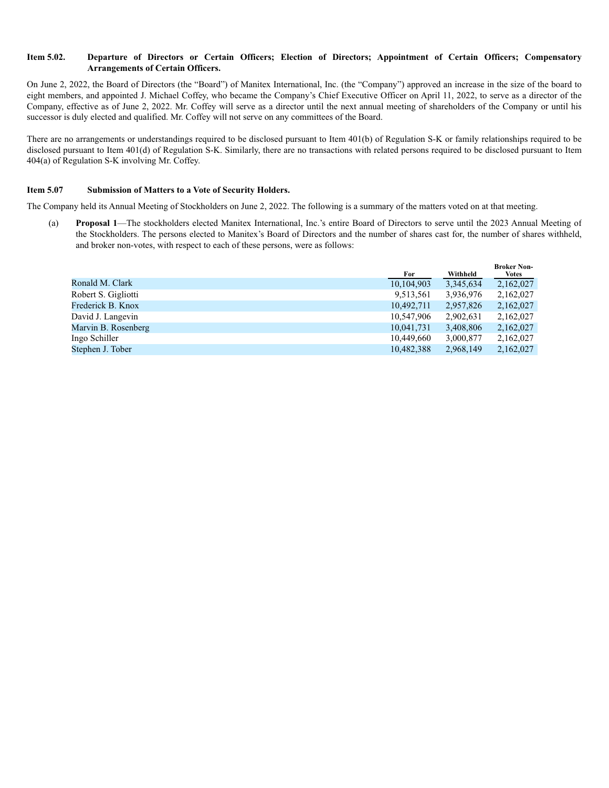#### **Item 5.02. Departure of Directors or Certain Officers; Election of Directors; Appointment of Certain Officers; Compensatory Arrangements of Certain Officers.**

On June 2, 2022, the Board of Directors (the "Board") of Manitex International, Inc. (the "Company") approved an increase in the size of the board to eight members, and appointed J. Michael Coffey, who became the Company's Chief Executive Officer on April 11, 2022, to serve as a director of the Company, effective as of June 2, 2022. Mr. Coffey will serve as a director until the next annual meeting of shareholders of the Company or until his successor is duly elected and qualified. Mr. Coffey will not serve on any committees of the Board.

There are no arrangements or understandings required to be disclosed pursuant to Item 401(b) of Regulation S-K or family relationships required to be disclosed pursuant to Item 401(d) of Regulation S-K. Similarly, there are no transactions with related persons required to be disclosed pursuant to Item 404(a) of Regulation S-K involving Mr. Coffey.

#### **Item 5.07 Submission of Matters to a Vote of Security Holders.**

The Company held its Annual Meeting of Stockholders on June 2, 2022. The following is a summary of the matters voted on at that meeting.

(a) **Proposal 1**—The stockholders elected Manitex International, Inc.'s entire Board of Directors to serve until the 2023 Annual Meeting of the Stockholders. The persons elected to Manitex's Board of Directors and the number of shares cast for, the number of shares withheld, and broker non-votes, with respect to each of these persons, were as follows:

|                     | For        | Withheld  | <b>Broker Non-</b><br><b>Votes</b> |
|---------------------|------------|-----------|------------------------------------|
| Ronald M. Clark     | 10,104,903 | 3,345,634 | 2,162,027                          |
| Robert S. Gigliotti | 9,513,561  | 3,936,976 | 2,162,027                          |
| Frederick B. Knox   | 10,492,711 | 2,957,826 | 2,162,027                          |
| David J. Langevin   | 10,547,906 | 2,902,631 | 2,162,027                          |
| Marvin B. Rosenberg | 10,041,731 | 3,408,806 | 2,162,027                          |
| Ingo Schiller       | 10,449,660 | 3,000,877 | 2.162.027                          |
| Stephen J. Tober    | 10,482,388 | 2,968,149 | 2,162,027                          |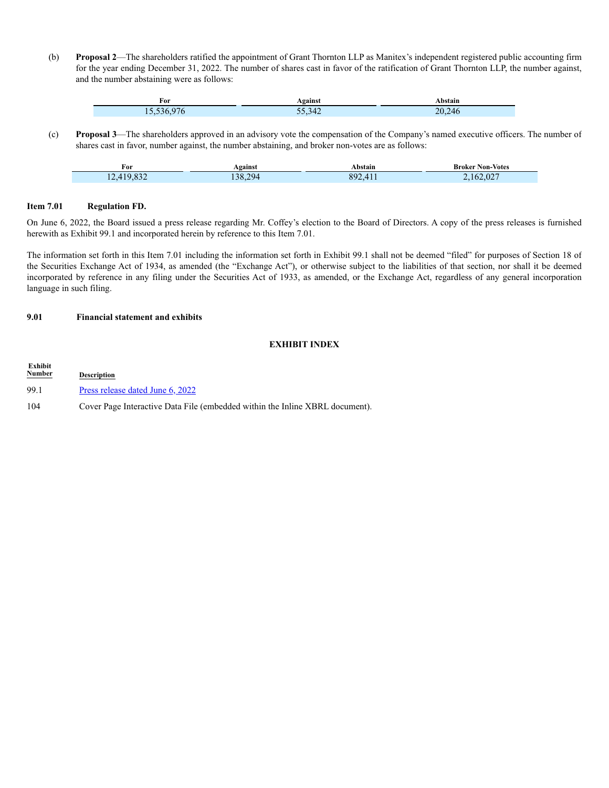(b) **Proposal 2**—The shareholders ratified the appointment of Grant Thornton LLP as Manitex's independent registered public accounting firm for the year ending December 31, 2022. The number of shares cast in favor of the ratification of Grant Thornton LLP, the number against, and the number abstaining were as follows:

| For | <b>\gainst</b> | <b>\bstail</b>     |
|-----|----------------|--------------------|
| - - | 371<br>- 14    | 70.<br>$7\Delta t$ |

(c) **Proposal 3**—The shareholders approved in an advisory vote the compensation of the Company's named executive officers. The number of shares cast in favor, number against, the number abstaining, and broker non-votes are as follows:

| †ΟI                    | Against                  | Abstain          | Broker Non-Votes |
|------------------------|--------------------------|------------------|------------------|
| $\sim$<br>.<br>$- - -$ | 294<br>$\Omega$<br>.38.4 | 892<br>$\Lambda$ | .162.027         |

#### **Item 7.01 Regulation FD.**

On June 6, 2022, the Board issued a press release regarding Mr. Coffey's election to the Board of Directors. A copy of the press releases is furnished herewith as Exhibit 99.1 and incorporated herein by reference to this Item 7.01.

The information set forth in this Item 7.01 including the information set forth in Exhibit 99.1 shall not be deemed "filed" for purposes of Section 18 of the Securities Exchange Act of 1934, as amended (the "Exchange Act"), or otherwise subject to the liabilities of that section, nor shall it be deemed incorporated by reference in any filing under the Securities Act of 1933, as amended, or the Exchange Act, regardless of any general incorporation language in such filing.

#### **9.01 Financial statement and exhibits**

#### **EXHIBIT INDEX**

**Exhibit Description** 99.1 Press release dated June 6, 2022 104 Cover Page Interactive Data File (embedded within the Inline XBRL document).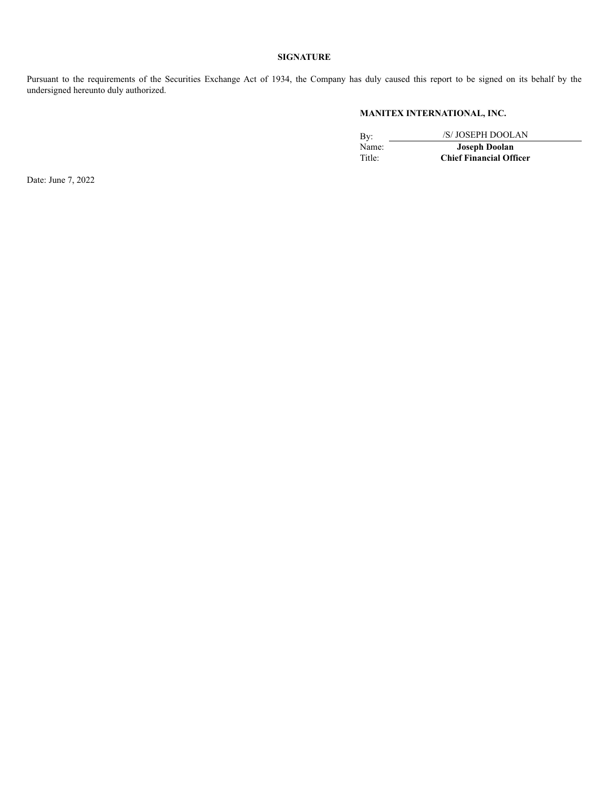#### **SIGNATURE**

Pursuant to the requirements of the Securities Exchange Act of 1934, the Company has duly caused this report to be signed on its behalf by the undersigned hereunto duly authorized.

#### **MANITEX INTERNATIONAL, INC.**

By: <br>Name: /S/ JOSEPH DOOLAN<br>Joseph Doolan Name: **Joseph Doolan**<br>Title: **Chief Financial Off Chief Financial Officer** 

Date: June 7, 2022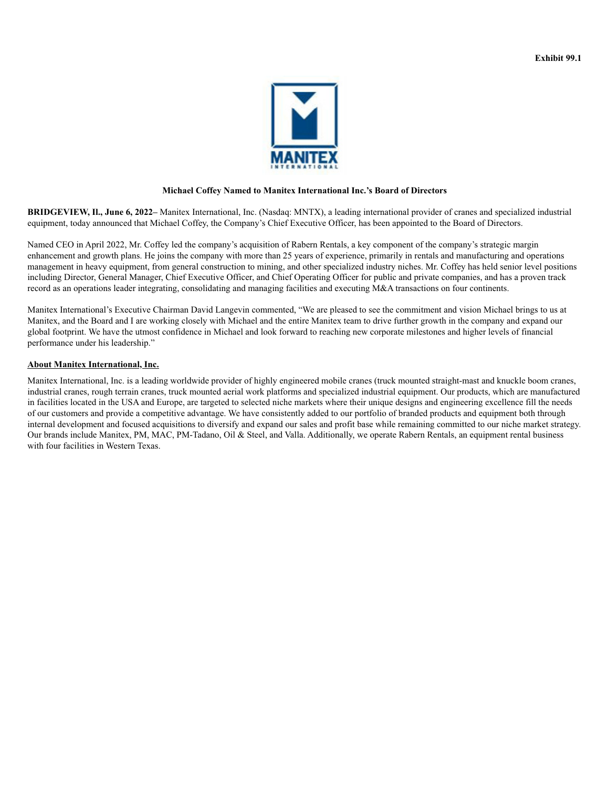

#### **Michael Coffey Named to Manitex International Inc.'s Board of Directors**

**BRIDGEVIEW, Il., June 6, 2022–** Manitex International, Inc. (Nasdaq: MNTX), a leading international provider of cranes and specialized industrial equipment, today announced that Michael Coffey, the Company's Chief Executive Officer, has been appointed to the Board of Directors.

Named CEO in April 2022, Mr. Coffey led the company's acquisition of Rabern Rentals, a key component of the company's strategic margin enhancement and growth plans. He joins the company with more than 25 years of experience, primarily in rentals and manufacturing and operations management in heavy equipment, from general construction to mining, and other specialized industry niches. Mr. Coffey has held senior level positions including Director, General Manager, Chief Executive Officer, and Chief Operating Officer for public and private companies, and has a proven track record as an operations leader integrating, consolidating and managing facilities and executing M&A transactions on four continents.

Manitex International's Executive Chairman David Langevin commented, "We are pleased to see the commitment and vision Michael brings to us at Manitex, and the Board and I are working closely with Michael and the entire Manitex team to drive further growth in the company and expand our global footprint. We have the utmost confidence in Michael and look forward to reaching new corporate milestones and higher levels of financial performance under his leadership."

#### **About Manitex International, Inc.**

Manitex International, Inc. is a leading worldwide provider of highly engineered mobile cranes (truck mounted straight-mast and knuckle boom cranes, industrial cranes, rough terrain cranes, truck mounted aerial work platforms and specialized industrial equipment. Our products, which are manufactured in facilities located in the USA and Europe, are targeted to selected niche markets where their unique designs and engineering excellence fill the needs of our customers and provide a competitive advantage. We have consistently added to our portfolio of branded products and equipment both through internal development and focused acquisitions to diversify and expand our sales and profit base while remaining committed to our niche market strategy. Our brands include Manitex, PM, MAC, PM-Tadano, Oil & Steel, and Valla. Additionally, we operate Rabern Rentals, an equipment rental business with four facilities in Western Texas.